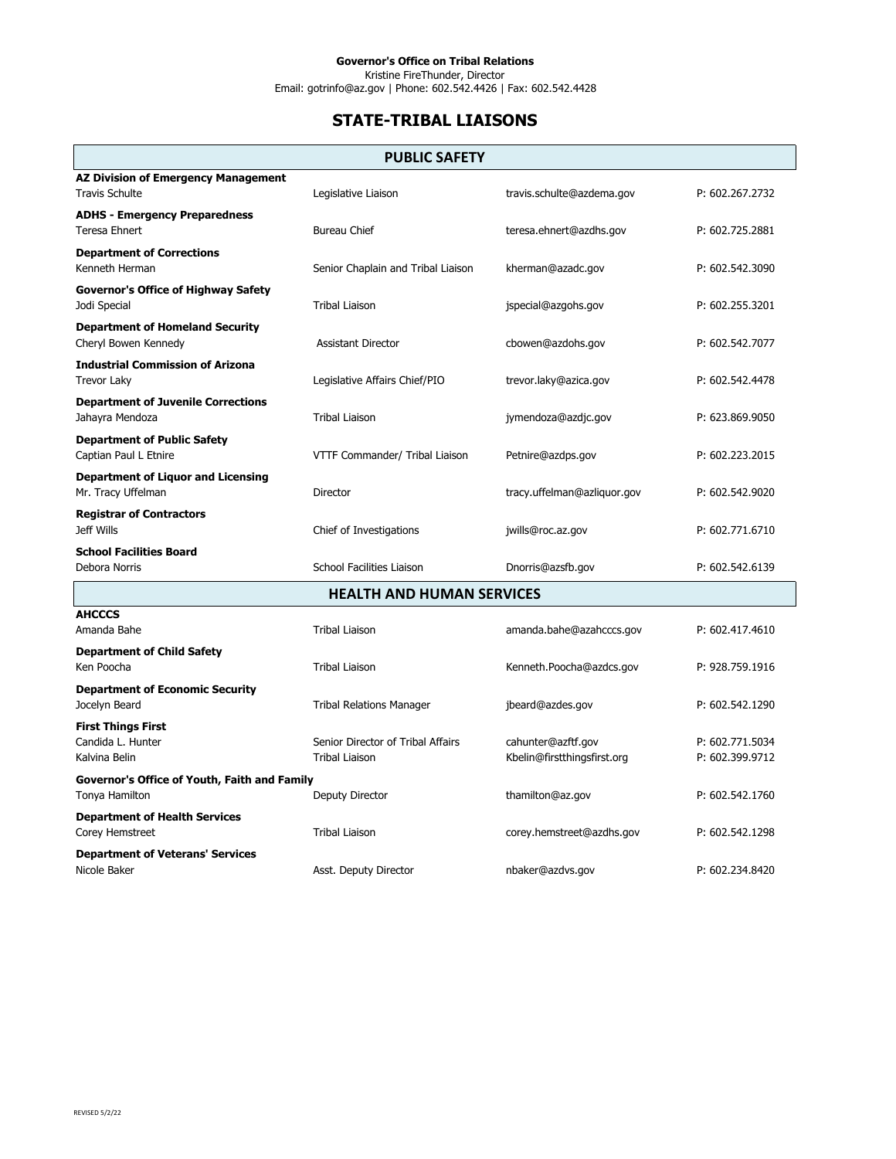Kristine FireThunder, Director Email: gotrinfo@az.gov | Phone: 602.542.4426 | Fax: 602.542.4428

## **STATE-TRIBAL LIAISONS**

## **PUBLIC SAFETY**

| <b>AZ Division of Emergency Management</b><br><b>Travis Schulte</b> | Legislative Liaison                                        | travis.schulte@azdema.gov                         | P: 602.267.2732                    |  |
|---------------------------------------------------------------------|------------------------------------------------------------|---------------------------------------------------|------------------------------------|--|
| <b>ADHS - Emergency Preparedness</b><br><b>Teresa Ehnert</b>        | <b>Bureau Chief</b>                                        | teresa.ehnert@azdhs.gov                           | P: 602.725.2881                    |  |
| <b>Department of Corrections</b><br>Kenneth Herman                  | Senior Chaplain and Tribal Liaison                         | kherman@azadc.gov                                 | P: 602.542.3090                    |  |
| <b>Governor's Office of Highway Safety</b><br>Jodi Special          | <b>Tribal Liaison</b>                                      | jspecial@azgohs.gov                               | P: 602.255.3201                    |  |
| <b>Department of Homeland Security</b><br>Cheryl Bowen Kennedy      | <b>Assistant Director</b>                                  | cbowen@azdohs.gov                                 | P: 602.542.7077                    |  |
| <b>Industrial Commission of Arizona</b><br>Trevor Laky              | Legislative Affairs Chief/PIO                              | trevor.laky@azica.gov                             | P: 602.542.4478                    |  |
| <b>Department of Juvenile Corrections</b><br>Jahayra Mendoza        | <b>Tribal Liaison</b>                                      | jymendoza@azdjc.gov                               | P: 623.869.9050                    |  |
| <b>Department of Public Safety</b><br>Captian Paul L Etnire         | VTTF Commander/ Tribal Liaison                             | Petnire@azdps.gov                                 | P: 602.223.2015                    |  |
| <b>Department of Liquor and Licensing</b><br>Mr. Tracy Uffelman     | Director                                                   | tracy.uffelman@azliquor.gov                       | P: 602.542.9020                    |  |
| <b>Registrar of Contractors</b><br>Jeff Wills                       | Chief of Investigations                                    | jwills@roc.az.gov                                 | P: 602.771.6710                    |  |
| <b>School Facilities Board</b><br>Debora Norris                     | <b>School Facilities Liaison</b>                           | Dnorris@azsfb.gov                                 | P: 602.542.6139                    |  |
| <b>HEALTH AND HUMAN SERVICES</b>                                    |                                                            |                                                   |                                    |  |
| <b>AHCCCS</b><br>Amanda Bahe                                        | <b>Tribal Liaison</b>                                      | amanda.bahe@azahcccs.gov                          | P: 602.417.4610                    |  |
| <b>Department of Child Safety</b><br>Ken Poocha                     | <b>Tribal Liaison</b>                                      | Kenneth.Poocha@azdcs.gov                          | P: 928.759.1916                    |  |
| <b>Department of Economic Security</b><br>Jocelyn Beard             | <b>Tribal Relations Manager</b>                            | jbeard@azdes.gov                                  | P: 602.542.1290                    |  |
| <b>First Things First</b><br>Candida L. Hunter<br>Kalvina Belin     | Senior Director of Tribal Affairs<br><b>Tribal Liaison</b> | cahunter@azftf.gov<br>Kbelin@firstthingsfirst.org | P: 602.771.5034<br>P: 602.399.9712 |  |
| Governor's Office of Youth, Faith and Family<br>Tonya Hamilton      | Deputy Director                                            | thamilton@az.gov                                  | P: 602.542.1760                    |  |
| <b>Department of Health Services</b><br>Corey Hemstreet             | <b>Tribal Liaison</b>                                      | corey.hemstreet@azdhs.gov                         | P: 602.542.1298                    |  |
| <b>Department of Veterans' Services</b><br>Nicole Baker             | Asst. Deputy Director                                      | nbaker@azdys.gov                                  | P: 602.234.8420                    |  |